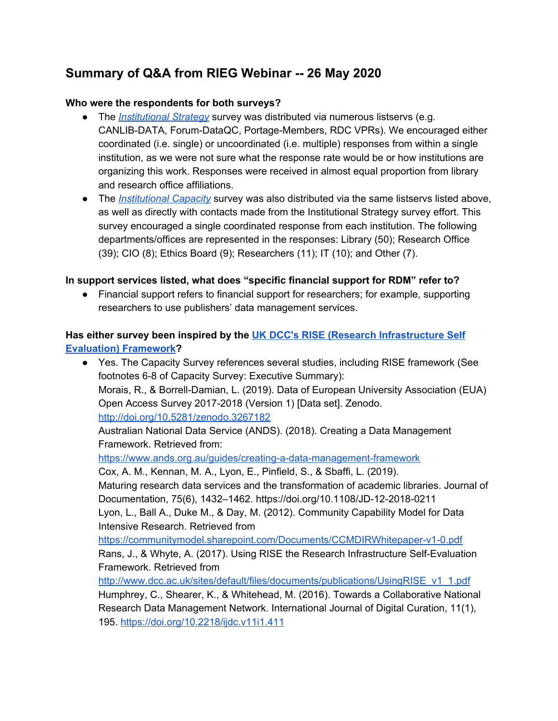# **Summary of Q&A from RIEG Webinar -- 26 May 2020**

#### **Who were the respondents for both surveys?**

- The *[Institutional](https://portagenetwork.ca/wp-content/uploads/2019/11/RIEGStrategySurveySummary_EN.pdf) Strategy* survey was distributed via numerous listservs (e.g. CANLIB-DATA, Forum-DataQC, Portage-Members, RDC VPRs). We encouraged either coordinated (i.e. single) or uncoordinated (i.e. multiple) responses from within a single institution, as we were not sure what the response rate would be or how institutions are organizing this work. Responses were received in almost equal proportion from library and research office affiliations.
- The *[Institutional](http://hdl.handle.net/2429/73607) Capacity* survey was also distributed via the same listservs listed above, as well as directly with contacts made from the Institutional Strategy survey effort. This survey encouraged a single coordinated response from each institution. The following departments/offices are represented in the responses: Library (50); Research Office (39); CIO (8); Ethics Board (9); Researchers (11); IT (10); and Other (7).

## **In support services listed, what does "specific financial support for RDM" refer to?**

● Financial support refers to financial support for researchers; for example, supporting researchers to use publishers' data management services.

# **Has either survey been inspired by the UK DCC's RISE (Research [Infrastructure](https://www.dcc.ac.uk/guidance/how-guides/RISE) Self [Evaluation\)](https://www.dcc.ac.uk/guidance/how-guides/RISE) Framework?**

● Yes. The Capacity Survey references several studies, including RISE framework (See footnotes 6-8 of Capacity Survey: Executive Summary): Morais, R., & Borrell-Damian, L. (2019). Data of European University Association (EUA) Open Access Survey 2017-2018 (Version 1) [Data set]. Zenodo. <http://doi.org/10.5281/zenodo.3267182> Australian National Data Service (ANDS). (2018). Creating a Data Management Framework. Retrieved from: <https://www.ands.org.au/guides/creating-a-data-management-framework> Cox, A. M., Kennan, M. A., Lyon, E., Pinfield, S., & Sbaffi, L. (2019). Maturing research data services and the transformation of academic libraries. Journal of Documentation, 75(6), 1432–1462. https://doi.org/10.1108/JD-12-2018-0211 Lyon, L., Ball A., Duke M., & Day, M. (2012). Community Capability Model for Data Intensive Research. Retrieved from <https://communitymodel.sharepoint.com/Documents/CCMDIRWhitepaper-v1-0.pdf> Rans, J., & Whyte, A. (2017). Using RISE the Research Infrastructure Self-Evaluation Framework. Retrieved from [http://www.dcc.ac.uk/sites/default/files/documents/publications/UsingRISE\\_v1\\_1.pdf](http://www.dcc.ac.uk/sites/default/files/documents/publications/UsingRISE_v1_1.pdf) Humphrey, C., Shearer, K., & Whitehead, M. (2016). Towards a Collaborative National

Research Data Management Network. International Journal of Digital Curation, 11(1), 195. <https://doi.org/10.2218/ijdc.v11i1.411>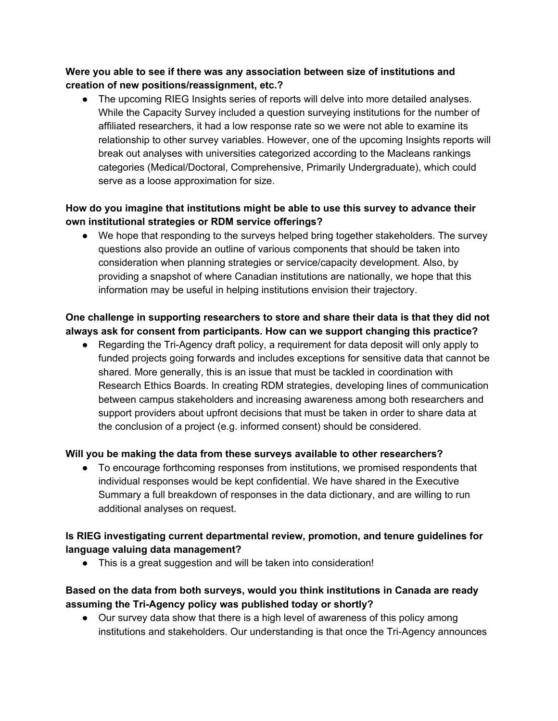# **Were you able to see if there was any association between size of institutions and creation of new positions/reassignment, etc.?**

**●** The upcoming RIEG Insights series of reports will delve into more detailed analyses. While the Capacity Survey included a question surveying institutions for the number of affiliated researchers, it had a low response rate so we were not able to examine its relationship to other survey variables. However, one of the upcoming Insights reports will break out analyses with universities categorized according to the Macleans rankings categories (Medical/Doctoral, Comprehensive, Primarily Undergraduate), which could serve as a loose approximation for size.

# **How do you imagine that institutions might be able to use this survey to advance their own institutional strategies or RDM service offerings?**

● We hope that responding to the surveys helped bring together stakeholders. The survey questions also provide an outline of various components that should be taken into consideration when planning strategies or service/capacity development. Also, by providing a snapshot of where Canadian institutions are nationally, we hope that this information may be useful in helping institutions envision their trajectory.

# **One challenge in supporting researchers to store and share their data is that they did not always ask for consent from participants. How can we support changing this practice?**

● Regarding the Tri-Agency draft policy, a requirement for data deposit will only apply to funded projects going forwards and includes exceptions for sensitive data that cannot be shared. More generally, this is an issue that must be tackled in coordination with Research Ethics Boards. In creating RDM strategies, developing lines of communication between campus stakeholders and increasing awareness among both researchers and support providers about upfront decisions that must be taken in order to share data at the conclusion of a project (e.g. informed consent) should be considered.

#### **Will you be making the data from these surveys available to other researchers?**

● To encourage forthcoming responses from institutions, we promised respondents that individual responses would be kept confidential. We have shared in the Executive Summary a full breakdown of responses in the data dictionary, and are willing to run additional analyses on request.

## **Is RIEG investigating current departmental review, promotion, and tenure guidelines for language valuing data management?**

● This is a great suggestion and will be taken into consideration!

# **Based on the data from both surveys, would you think institutions in Canada are ready assuming the Tri-Agency policy was published today or shortly?**

● Our survey data show that there is a high level of awareness of this policy among institutions and stakeholders. Our understanding is that once the Tri-Agency announces